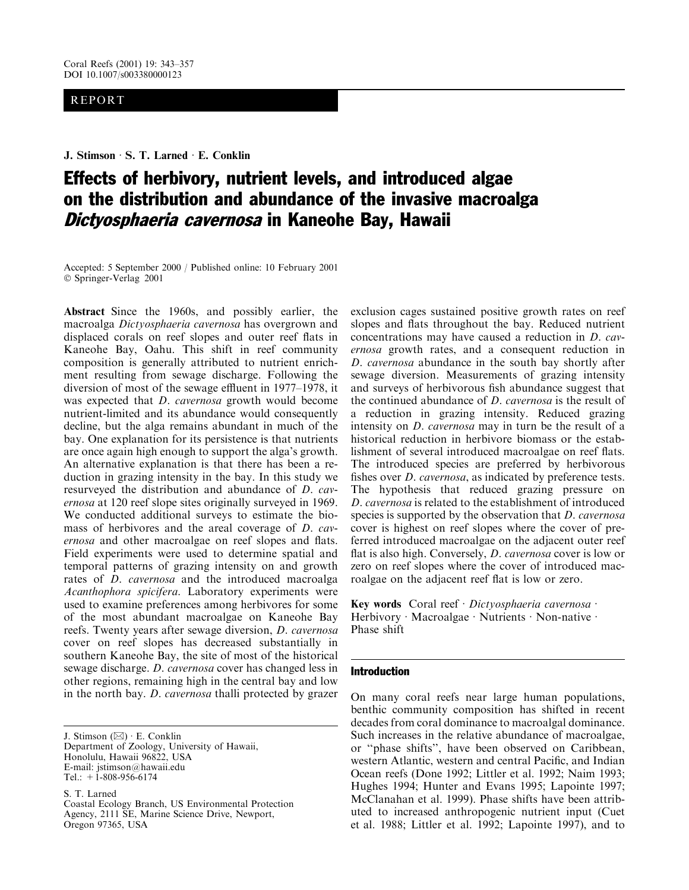# **REPORT**

## J. Stimson · S. T. Larned · E. Conklin

# **Effects of herbivory, nutrient levels, and introduced algae** on the distribution and abundance of the invasive macroalga Dictyosphaeria cavernosa in Kaneohe Bay, Hawaii

Accepted: 5 September 2000 / Published online: 10 February 2001 © Springer-Verlag 2001

**Abstract** Since the 1960s, and possibly earlier, the macroalga Dictyosphaeria cavernosa has overgrown and displaced corals on reef slopes and outer reef flats in Kaneohe Bay, Oahu. This shift in reef community composition is generally attributed to nutrient enrichment resulting from sewage discharge. Following the diversion of most of the sewage effluent in 1977–1978, it was expected that *D. cavernosa* growth would become nutrient-limited and its abundance would consequently decline, but the alga remains abundant in much of the bay. One explanation for its persistence is that nutrients are once again high enough to support the alga's growth. An alternative explanation is that there has been a reduction in grazing intensity in the bay. In this study we resurveyed the distribution and abundance of *D. cavernosa* at 120 reef slope sites originally surveyed in 1969. We conducted additional surveys to estimate the biomass of herbivores and the areal coverage of *D. cav*ernosa and other macroalgae on reef slopes and flats. Field experiments were used to determine spatial and temporal patterns of grazing intensity on and growth rates of *D. cavernosa* and the introduced macroalga Acanthophora spicifera. Laboratory experiments were used to examine preferences among herbivores for some of the most abundant macroalgae on Kaneohe Bay reefs. Twenty years after sewage diversion, D. cavernosa cover on reef slopes has decreased substantially in southern Kaneohe Bay, the site of most of the historical sewage discharge. *D. cavernosa* cover has changed less in other regions, remaining high in the central bay and low in the north bay. *D. cavernosa* thalli protected by grazer

J. Stimson  $(\boxtimes) \cdot$  E. Conklin Department of Zoology, University of Hawaii, Honolulu, Hawaii 96822, USA E-mail: jstimson@hawaii.edu Tel.:  $+1$ -808-956-6174

S. T. Larned

Coastal Ecology Branch, US Environmental Protection Agency, 2111 SE, Marine Science Drive, Newport, Oregon 97365, USA

exclusion cages sustained positive growth rates on reef slopes and flats throughout the bay. Reduced nutrient concentrations may have caused a reduction in *D. cavernosa* growth rates, and a consequent reduction in D. cavernosa abundance in the south bay shortly after sewage diversion. Measurements of grazing intensity and surveys of herbivorous fish abundance suggest that the continued abundance of  $D$ . *cavernosa* is the result of a reduction in grazing intensity. Reduced grazing intensity on *D. cavernosa* may in turn be the result of a historical reduction in herbivore biomass or the establishment of several introduced macroalgae on reef flats. The introduced species are preferred by herbivorous fishes over *D. cavernosa*, as indicated by preference tests. The hypothesis that reduced grazing pressure on D. cavernosa is related to the establishment of introduced species is supported by the observation that *D. cavernosa* cover is highest on reef slopes where the cover of preferred introduced macroalgae on the adjacent outer reef flat is also high. Conversely, *D. cavernosa* cover is low or zero on reef slopes where the cover of introduced macroalgae on the adjacent reef flat is low or zero.

Key words Coral reef · Dictyosphaeria cavernosa · Herbivory · Macroalgae · Nutrients · Non-native · Phase shift

#### **Introduction**

On many coral reefs near large human populations, benthic community composition has shifted in recent decades from coral dominance to macroalgal dominance. Such increases in the relative abundance of macroalgae, or "phase shifts", have been observed on Caribbean, western Atlantic, western and central Pacific, and Indian Ocean reefs (Done 1992; Littler et al. 1992; Naim 1993; Hughes 1994; Hunter and Evans 1995; Lapointe 1997; McClanahan et al. 1999). Phase shifts have been attributed to increased anthropogenic nutrient input (Cuet et al. 1988; Littler et al. 1992; Lapointe 1997), and to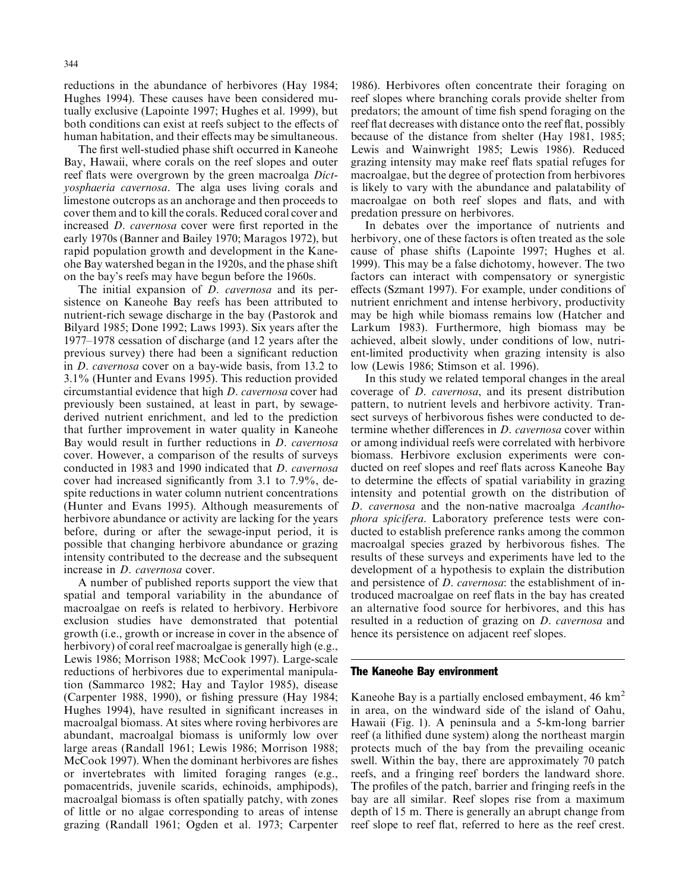reductions in the abundance of herbivores (Hay 1984; Hughes 1994). These causes have been considered mutually exclusive (Lapointe 1997; Hughes et al. 1999), but both conditions can exist at reefs subject to the effects of human habitation, and their effects may be simultaneous.

The first well-studied phase shift occurred in Kaneohe Bay, Hawaii, where corals on the reef slopes and outer reef flats were overgrown by the green macroalga Dictyosphaeria cavernosa. The alga uses living corals and limestone outcrops as an anchorage and then proceeds to cover them and to kill the corals. Reduced coral cover and increased *D. cavernosa* cover were first reported in the early 1970s (Banner and Bailey 1970; Maragos 1972), but rapid population growth and development in the Kaneohe Bay watershed began in the 1920s, and the phase shift on the bay's reefs may have begun before the 1960s.

The initial expansion of *D. cavernosa* and its persistence on Kaneohe Bay reefs has been attributed to nutrient-rich sewage discharge in the bay (Pastorok and Bilyard 1985; Done 1992; Laws 1993). Six years after the 1977–1978 cessation of discharge (and 12 years after the previous survey) there had been a significant reduction in *D. cavernosa* cover on a bay-wide basis, from 13.2 to 3.1% (Hunter and Evans 1995). This reduction provided circumstantial evidence that high *D. cavernosa* cover had previously been sustained, at least in part, by sewagederived nutrient enrichment, and led to the prediction that further improvement in water quality in Kaneohe Bay would result in further reductions in *D. cavernosa* cover. However, a comparison of the results of surveys conducted in 1983 and 1990 indicated that *D. cavernosa* cover had increased significantly from 3.1 to 7.9%, despite reductions in water column nutrient concentrations (Hunter and Evans 1995). Although measurements of herbivore abundance or activity are lacking for the years before, during or after the sewage-input period, it is possible that changing herbivore abundance or grazing intensity contributed to the decrease and the subsequent increase in *D. cavernosa* cover.

A number of published reports support the view that spatial and temporal variability in the abundance of macroalgae on reefs is related to herbivory. Herbivore exclusion studies have demonstrated that potential growth (i.e., growth or increase in cover in the absence of herbivory) of coral reef macroalgae is generally high (e.g., Lewis 1986; Morrison 1988; McCook 1997). Large-scale reductions of herbivores due to experimental manipulation (Sammarco 1982; Hay and Taylor 1985), disease (Carpenter 1988, 1990), or fishing pressure (Hay 1984; Hughes 1994), have resulted in significant increases in macroalgal biomass. At sites where roving herbivores are abundant, macroalgal biomass is uniformly low over large areas (Randall 1961; Lewis 1986; Morrison 1988; McCook 1997). When the dominant herbivores are fishes or invertebrates with limited foraging ranges (e.g., pomacentrids, juvenile scarids, echinoids, amphipods), macroalgal biomass is often spatially patchy, with zones of little or no algae corresponding to areas of intense grazing (Randall 1961; Ogden et al. 1973; Carpenter

1986). Herbivores often concentrate their foraging on reef slopes where branching corals provide shelter from predators; the amount of time fish spend foraging on the reef flat decreases with distance onto the reef flat, possibly because of the distance from shelter (Hay 1981, 1985; Lewis and Wainwright 1985; Lewis 1986). Reduced grazing intensity may make reef flats spatial refuges for macroalgae, but the degree of protection from herbivores is likely to vary with the abundance and palatability of macroalgae on both reef slopes and flats, and with predation pressure on herbivores.

In debates over the importance of nutrients and herbivory, one of these factors is often treated as the sole cause of phase shifts (Lapointe 1997; Hughes et al. 1999). This may be a false dichotomy, however. The two factors can interact with compensatory or synergistic effects (Szmant 1997). For example, under conditions of nutrient enrichment and intense herbivory, productivity may be high while biomass remains low (Hatcher and Larkum 1983). Furthermore, high biomass may be achieved, albeit slowly, under conditions of low, nutrient-limited productivity when grazing intensity is also low (Lewis 1986; Stimson et al. 1996).

In this study we related temporal changes in the areal coverage of *D. cavernosa*, and its present distribution pattern, to nutrient levels and herbivore activity. Transect surveys of herbivorous fishes were conducted to determine whether differences in *D. cavernosa* cover within or among individual reefs were correlated with herbivore biomass. Herbivore exclusion experiments were conducted on reef slopes and reef flats across Kaneohe Bay to determine the effects of spatial variability in grazing intensity and potential growth on the distribution of D. cavernosa and the non-native macroalga Acanthophora spicifera. Laboratory preference tests were conducted to establish preference ranks among the common macroalgal species grazed by herbivorous fishes. The results of these surveys and experiments have led to the development of a hypothesis to explain the distribution and persistence of *D. cavernosa*: the establishment of introduced macroalgae on reef flats in the bay has created an alternative food source for herbivores, and this has resulted in a reduction of grazing on *D. cavernosa* and hence its persistence on adjacent reef slopes.

## The Kaneohe Bay environment

Kaneohe Bay is a partially enclosed embayment,  $46 \text{ km}^2$ in area, on the windward side of the island of Oahu, Hawaii (Fig. 1). A peninsula and a 5-km-long barrier reef (a lithified dune system) along the northeast margin protects much of the bay from the prevailing oceanic swell. Within the bay, there are approximately 70 patch reefs, and a fringing reef borders the landward shore. The profiles of the patch, barrier and fringing reefs in the bay are all similar. Reef slopes rise from a maximum depth of 15 m. There is generally an abrupt change from reef slope to reef flat, referred to here as the reef crest.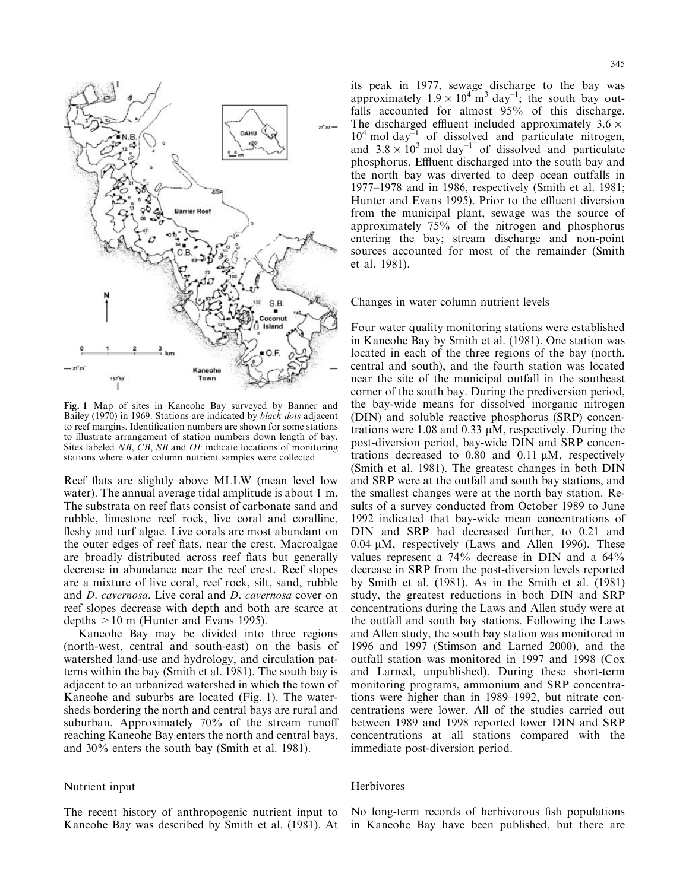

Fig. 1 Map of sites in Kaneohe Bay surveyed by Banner and Bailey (1970) in 1969. Stations are indicated by black dots adjacent to reef margins. Identification numbers are shown for some stations to illustrate arrangement of station numbers down length of bay. Sites labeled NB, CB, SB and OF indicate locations of monitoring stations where water column nutrient samples were collected

Reef flats are slightly above MLLW (mean level low water). The annual average tidal amplitude is about 1 m. The substrata on reef flats consist of carbonate sand and rubble, limestone reef rock, live coral and coralline, fleshy and turf algae. Live corals are most abundant on the outer edges of reef flats, near the crest. Macroalgae are broadly distributed across reef flats but generally decrease in abundance near the reef crest. Reef slopes are a mixture of live coral, reef rock, silt, sand, rubble and *D. cavernosa*. Live coral and *D. cavernosa* cover on reef slopes decrease with depth and both are scarce at depths  $> 10$  m (Hunter and Evans 1995).

Kaneohe Bay may be divided into three regions (north-west, central and south-east) on the basis of watershed land-use and hydrology, and circulation patterns within the bay (Smith et al. 1981). The south bay is adjacent to an urbanized watershed in which the town of Kaneohe and suburbs are located (Fig. 1). The watersheds bordering the north and central bays are rural and suburban. Approximately 70% of the stream runoff reaching Kaneohe Bay enters the north and central bays, and 30% enters the south bay (Smith et al. 1981).

## Nutrient input

The recent history of anthropogenic nutrient input to Kaneohe Bay was described by Smith et al. (1981). At

its peak in 1977, sewage discharge to the bay was approximately  $1.9 \times 10^4$  m<sup>3</sup> day<sup>-1</sup>; the south bay outfalls accounted for almost 95% of this discharge. The discharged effluent included approximately  $3.6 \times$  $10^4$  mol day<sup>-1</sup> of dissolved and particulate nitrogen,<br>and  $3.8 \times 10^3$  mol day<sup>-1</sup> of dissolved and particulate phosphorus. Effluent discharged into the south bay and the north bay was diverted to deep ocean outfalls in 1977–1978 and in 1986, respectively (Smith et al. 1981; Hunter and Evans 1995). Prior to the effluent diversion from the municipal plant, sewage was the source of approximately 75% of the nitrogen and phosphorus entering the bay; stream discharge and non-point sources accounted for most of the remainder (Smith et al. 1981).

Changes in water column nutrient levels

Four water quality monitoring stations were established in Kaneohe Bay by Smith et al. (1981). One station was located in each of the three regions of the bay (north, central and south), and the fourth station was located near the site of the municipal outfall in the southeast corner of the south bay. During the prediversion period, the bay-wide means for dissolved inorganic nitrogen (DIN) and soluble reactive phosphorus (SRP) concentrations were 1.08 and 0.33  $\mu$ M, respectively. During the post-diversion period, bay-wide DIN and SRP concentrations decreased to  $0.80$  and  $0.11 \mu M$ , respectively (Smith et al. 1981). The greatest changes in both DIN and SRP were at the outfall and south bay stations, and the smallest changes were at the north bay station. Results of a survey conducted from October 1989 to June 1992 indicated that bay-wide mean concentrations of DIN and SRP had decreased further, to 0.21 and 0.04 µM, respectively (Laws and Allen 1996). These values represent a  $74\%$  decrease in DIN and a  $64\%$ decrease in SRP from the post-diversion levels reported by Smith et al. (1981). As in the Smith et al. (1981) study, the greatest reductions in both DIN and SRP concentrations during the Laws and Allen study were at the outfall and south bay stations. Following the Laws and Allen study, the south bay station was monitored in 1996 and 1997 (Stimson and Larned 2000), and the outfall station was monitored in 1997 and 1998 (Cox and Larned, unpublished). During these short-term monitoring programs, ammonium and SRP concentrations were higher than in 1989–1992, but nitrate concentrations were lower. All of the studies carried out between 1989 and 1998 reported lower DIN and SRP concentrations at all stations compared with the immediate post-diversion period.

# Herbivores

No long-term records of herbivorous fish populations in Kaneohe Bay have been published, but there are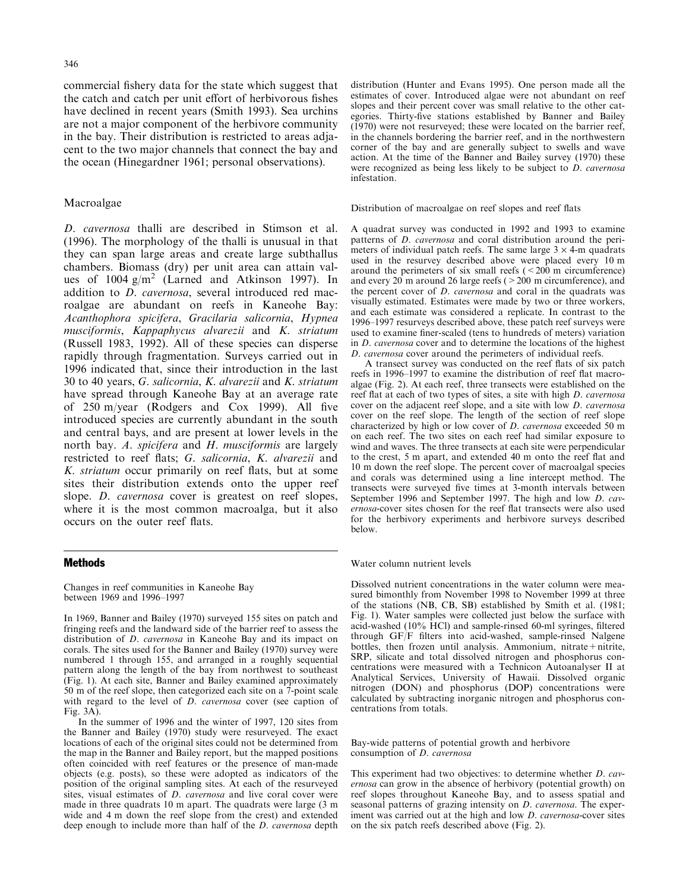346

commercial fishery data for the state which suggest that the catch and catch per unit effort of herbivorous fishes have declined in recent years (Smith 1993). Sea urchins are not a major component of the herbivore community in the bay. Their distribution is restricted to areas adjacent to the two major channels that connect the bay and the ocean (Hinegardner 1961; personal observations).

# Macroalgae

D. cavernosa thalli are described in Stimson et al. (1996). The morphology of the thalli is unusual in that they can span large areas and create large subthallus chambers. Biomass (dry) per unit area can attain values of  $1004$  g/m<sup>2</sup> (Larned and Atkinson 1997). In addition to *D. cavernosa*, several introduced red macroalgae are abundant on reefs in Kaneohe Bay: Acanthophora spicifera, Gracilaria salicornia, Hypnea musciformis, Kappaphycus alvarezii and K. striatum (Russell 1983, 1992). All of these species can disperse rapidly through fragmentation. Surveys carried out in 1996 indicated that, since their introduction in the last 30 to 40 years, G. salicornia, K. alvarezii and K. striatum have spread through Kaneohe Bay at an average rate of 250 m/year (Rodgers and Cox 1999). All five introduced species are currently abundant in the south and central bays, and are present at lower levels in the north bay. A. spicifera and H. musciformis are largely restricted to reef flats; G. salicornia, K. alvarezii and K. striatum occur primarily on reef flats, but at some sites their distribution extends onto the upper reef slope. *D. cavernosa* cover is greatest on reef slopes, where it is the most common macroalga, but it also occurs on the outer reef flats.

## **Methods**

Changes in reef communities in Kaneohe Bay between 1969 and 1996-1997

In 1969, Banner and Bailey (1970) surveyed 155 sites on patch and fringing reefs and the landward side of the barrier reef to assess the distribution of *D. cavernosa* in Kaneohe Bay and its impact on corals. The sites used for the Banner and Bailey (1970) survey were numbered 1 through 155, and arranged in a roughly sequential pattern along the length of the bay from northwest to southeast (Fig. 1). At each site, Banner and Bailey examined approximately 50 m of the reef slope, then categorized each site on a 7-point scale with regard to the level of  $D$ . *cavernosa* cover (see caption of Fig. 3A).

In the summer of 1996 and the winter of 1997, 120 sites from the Banner and Bailey (1970) study were resurveyed. The exact locations of each of the original sites could not be determined from the map in the Banner and Bailey report, but the mapped positions often coincided with reef features or the presence of man-made objects (e.g. posts), so these were adopted as indicators of the position of the original sampling sites. At each of the resurveyed sites, visual estimates of *D. cavernosa* and live coral cover were made in three quadrats 10 m apart. The quadrats were large (3 m wide and 4 m down the reef slope from the crest) and extended deep enough to include more than half of the *D. cavernosa* depth distribution (Hunter and Evans 1995). One person made all the estimates of cover. Introduced algae were not abundant on reef slopes and their percent cover was small relative to the other categories. Thirty-five stations established by Banner and Bailey (1970) were not resurveyed; these were located on the barrier reef, in the channels bordering the barrier reef, and in the northwestern corner of the bay and are generally subject to swells and wave action. At the time of the Banner and Bailey survey (1970) these were recognized as being less likely to be subject to *D. cavernosa* infestation.

#### Distribution of macroalgae on reef slopes and reef flats

A quadrat survey was conducted in 1992 and 1993 to examine patterns of *D. cavernosa* and coral distribution around the perimeters of individual patch reefs. The same large  $3 \times 4$ -m quadrats used in the resurvey described above were placed every 10 m around the perimeters of six small reefs  $( $200 \text{ m}$  circumference)$ and every 20 m around 26 large reefs  $($  > 200 m circumference), and the percent cover of *D. cavernosa* and coral in the quadrats was visually estimated. Estimates were made by two or three workers, and each estimate was considered a replicate. In contrast to the 1996–1997 resurveys described above, these patch reef surveys were used to examine finer-scaled (tens to hundreds of meters) variation in *D. cavernosa* cover and to determine the locations of the highest D. cavernosa cover around the perimeters of individual reefs.

A transect survey was conducted on the reef flats of six patch reefs in 1996–1997 to examine the distribution of reef flat macroalgae (Fig. 2). At each reef, three transects were established on the reef flat at each of two types of sites, a site with high *D. cavernosa* cover on the adjacent reef slope, and a site with low *D. cavernosa* cover on the reef slope. The length of the section of reef slope characterized by high or low cover of *D. cavernosa* exceeded 50 m on each reef. The two sites on each reef had similar exposure to wind and waves. The three transects at each site were perpendicular to the crest, 5 m apart, and extended 40 m onto the reef flat and 10 m down the reef slope. The percent cover of macroalgal species and corals was determined using a line intercept method. The transects were surveyed five times at 3-month intervals between<br>September 1996 and September 1997. The high and low  $D$ . cavernosa-cover sites chosen for the reef flat transects were also used for the herbivory experiments and herbivore surveys described below.

Water column nutrient levels

Dissolved nutrient concentrations in the water column were measured bimonthly from November 1998 to November 1999 at three of the stations (NB, CB, SB) established by Smith et al. (1981; Fig. 1). Water samples were collected just below the surface with acid-washed (10% HCl) and sample-rinsed 60-ml syringes, filtered through GF/F filters into acid-washed, sample-rinsed Nalgene bottles, then frozen until analysis. Ammonium, nitrate+nitrite, SRP, silicate and total dissolved nitrogen and phosphorus concentrations were measured with a Technicon Autoanalyser II at Analytical Services, University of Hawaii. Dissolved organic nitrogen (DON) and phosphorus (DOP) concentrations were calculated by subtracting inorganic nitrogen and phosphorus concentrations from totals.

Bay-wide patterns of potential growth and herbivore consumption of D. cavernosa

This experiment had two objectives: to determine whether *D. cav*ernosa can grow in the absence of herbivory (potential growth) on reef slopes throughout Kaneohe Bay, and to assess spatial and seasonal patterns of grazing intensity on *D. cavernosa*. The experiment was carried out at the high and low D. cavernosa-cover sites on the six patch reefs described above (Fig. 2).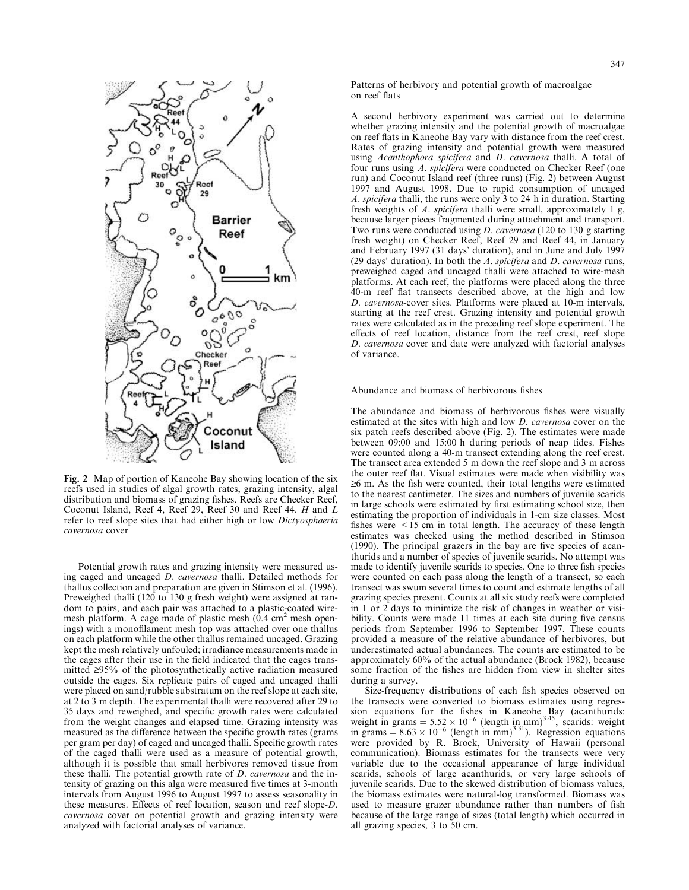

Fig. 2 Map of portion of Kaneohe Bay showing location of the six reefs used in studies of algal growth rates, grazing intensity, algal distribution and biomass of grazing fishes. Reefs are Checker Reef, Coconut Island, Reef 4, Reef 29, Reef 30 and Reef 44. H and L refer to reef slope sites that had either high or low Dictyosphaeria cavernosa cover

Potential growth rates and grazing intensity were measured using caged and uncaged *D. cavernosa* thalli. Detailed methods for thallus collection and preparation are given in Stimson et al. (1996). Preweighed thalli (120 to 130 g fresh weight) were assigned at random to pairs, and each pair was attached to a plastic-coated wiremesh platform. A cage made of plastic mesh  $(0.4 \text{ cm}^2 \text{ mesh open}$ ings) with a monofilament mesh top was attached over one thallus on each platform while the other thallus remained uncaged. Grazing kept the mesh relatively unfouled; irradiance measurements made in the cages after their use in the field indicated that the cages transmitted  $\geq$ 95% of the photosynthetically active radiation measured outside the cages. Six replicate pairs of caged and uncaged thalli were placed on sand/rubble substratum on the reef slope at each site, at 2 to 3 m depth. The experimental thalli were recovered after 29 to 35 days and reweighed, and specific growth rates were calculated from the weight changes and elapsed time. Grazing intensity was measured as the difference between the specific growth rates (grams per gram per day) of caged and uncaged thalli. Specific growth rates of the caged thalli were used as a measure of potential growth, although it is possible that small herbivores removed tissue from these thalli. The potential growth rate of *D. cavernosa* and the intensity of grazing on this alga were measured five times at 3-month intervals from August 1996 to August 1997 to assess seasonality in these measures. Effects of reef location, season and reef slope-D. cavernosa cover on potential growth and grazing intensity were analyzed with factorial analyses of variance.

Patterns of herbivory and potential growth of macroalgae on reef flats

A second herbivory experiment was carried out to determine whether grazing intensity and the potential growth of macroalgae on reef flats in Kaneohe Bay vary with distance from the reef crest. Rates of grazing intensity and potential growth were measured using Acanthophora spicifera and D. cavernosa thalli. A total of four runs using A. spicifera were conducted on Checker Reef (one run) and Coconut Island reef (three runs) (Fig. 2) between August 1997 and August 1998. Due to rapid consumption of uncaged A. spicifera thalli, the runs were only 3 to 24 h in duration. Starting fresh weights of A. spicifera thalli were small, approximately 1 g, because larger pieces fragmented during attachment and transport. Two runs were conducted using *D. cavernosa* (120 to 130 g starting fresh weight) on Checker Reef, Reef 29 and Reef 44, in January and February 1997 (31 days' duration), and in June and July 1997 (29 days' duration). In both the A. spicifera and D. cavernosa runs, preweighed caged and uncaged thalli were attached to wire-mesh platforms. At each reef, the platforms were placed along the three 40-m reef flat transects described above, at the high and low D. cavernosa-cover sites. Platforms were placed at 10-m intervals, starting at the reef crest. Grazing intensity and potential growth rates were calculated as in the preceding reef slope experiment. The effects of reef location, distance from the reef crest, reef slope D. cavernosa cover and date were analyzed with factorial analyses of variance.

Abundance and biomass of herbivorous fishes

The abundance and biomass of herbivorous fishes were visually estimated at the sites with high and low D. cavernosa cover on the six patch reefs described above (Fig. 2). The estimates were made between 09:00 and 15:00 h during periods of neap tides. Fishes were counted along a 40-m transect extending along the reef crest. The transect area extended 5 m down the reef slope and 3 m across the outer reef flat. Visual estimates were made when visibility was  $\geq$ 6 m. As the fish were counted, their total lengths were estimated to the nearest centimeter. The sizes and numbers of juvenile scarids in large schools were estimated by first estimating school size, then estimating the proportion of individuals in 1-cm size classes. Most fishes were  $\leq 15$  cm in total length. The accuracy of these length estimates was checked using the method described in Stimson (1990). The principal grazers in the bay are five species of acanthurids and a number of species of juvenile scarids. No attempt was made to identify juvenile scarids to species. One to three fish species were counted on each pass along the length of a transect, so each transect was swum several times to count and estimate lengths of all grazing species present. Counts at all six study reefs were completed in 1 or 2 days to minimize the risk of changes in weather or visibility. Counts were made 11 times at each site during five census periods from September 1996 to September 1997. These counts provided a measure of the relative abundance of herbivores, but underestimated actual abundances. The counts are estimated to be approximately 60% of the actual abundance (Brock 1982), because some fraction of the fishes are hidden from view in shelter sites during a survey.

Size-frequency distributions of each fish species observed on the transects were converted to biomass estimates using regression equations for the fishes in Kaneohe Bay (acanthurids:<br>weight in grams =  $5.52 \times 10^{-6}$  (length in mm)<sup>3,45</sup>, scarids: weight<br>in grams =  $8.63 \times 10^{-6}$  (length in mm)<sup>3,31</sup>). Regression equations were provided by R. Brock, University of Hawaii (personal communication). Biomass estimates for the transects were very variable due to the occasional appearance of large individual scarids, schools of large acanthurids, or very large schools of juvenile scarids. Due to the skewed distribution of biomass values, the biomass estimates were natural-log transformed. Biomass was used to measure grazer abundance rather than numbers of fish because of the large range of sizes (total length) which occurred in all grazing species, 3 to 50 cm.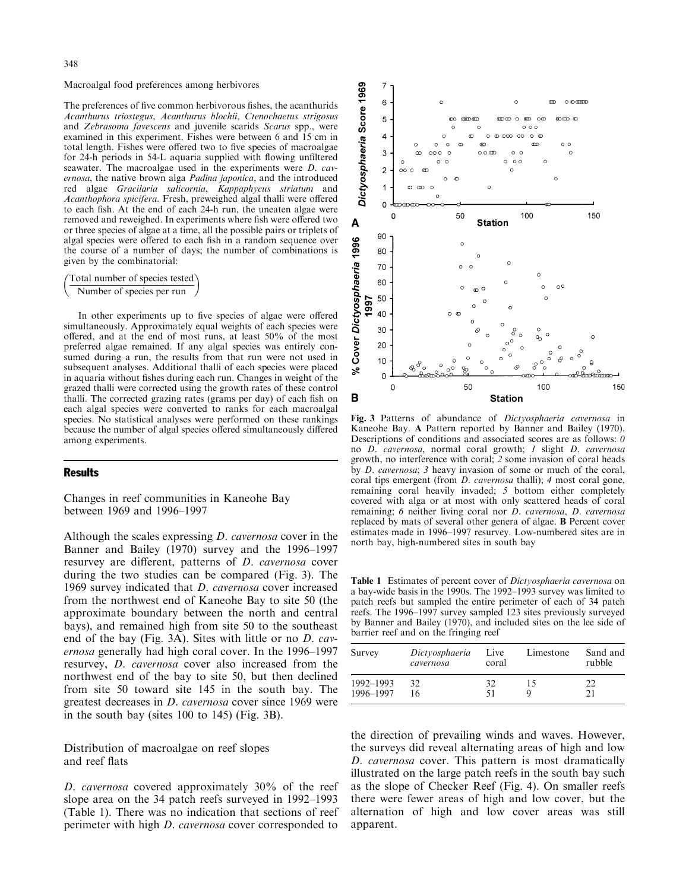#### Macroalgal food preferences among herbivores

The preferences of five common herbivorous fishes, the acanthurids Acanthurus triostegus, Acanthurus blochii, Ctenochaetus strigosus and Zebrasoma favescens and juvenile scarids Scarus spp., were examined in this experiment. Fishes were between 6 and 15 cm in total length. Fishes were offered two to five species of macroalgae for 24-h periods in 54-L aquaria supplied with flowing unfiltered seawater. The macroalgae used in the experiments were *D. cav*ernosa, the native brown alga Padina japonica, and the introduced red algae Gracilaria salicornia, Kappaphycus striatum and Acanthophora spicifera. Fresh, preweighed algal thalli were offered to each fish. At the end of each 24-h run, the uneaten algae were removed and reweighed. In experiments where fish were offered two or three species of algae at a time, all the possible pairs or triplets of algal species were offered to each fish in a random sequence over the course of a number of days; the number of combinations is given by the combinatorial:

Total number of species tested Number of species per run

In other experiments up to five species of algae were offered simultaneously. Approximately equal weights of each species were offered, and at the end of most runs, at least  $50\%$  of the most preferred algae remained. If any algal species was entirely consumed during a run, the results from that run were not used in subsequent analyses. Additional thalli of each species were placed in aquaria without fishes during each run. Changes in weight of the grazed thalli were corrected using the growth rates of these control thalli. The corrected grazing rates (grams per day) of each fish on each algal species were converted to ranks for each macroalgal species. No statistical analyses were performed on these rankings because the number of algal species offered simultaneously differed among experiments.

#### **Results**

Changes in reef communities in Kaneohe Bay between 1969 and 1996–1997

Although the scales expressing *D. cavernosa* cover in the Banner and Bailey (1970) survey and the 1996–1997 resurvey are different, patterns of *D. cavernosa* cover during the two studies can be compared (Fig. 3). The 1969 survey indicated that *D. cavernosa* cover increased from the northwest end of Kaneohe Bay to site 50 (the approximate boundary between the north and central bays), and remained high from site 50 to the southeast end of the bay (Fig. 3A). Sites with little or no *D. cav*ernosa generally had high coral cover. In the 1996-1997 resurvey, *D. cavernosa* cover also increased from the northwest end of the bay to site 50, but then declined from site 50 toward site 145 in the south bay. The greatest decreases in *D. cavernosa* cover since 1969 were in the south bay (sites 100 to 145) (Fig. 3B).

Distribution of macroalgae on reef slopes and reef flats

D. cavernosa covered approximately 30% of the reef slope area on the 34 patch reefs surveyed in 1992–1993 (Table 1). There was no indication that sections of reef perimeter with high *D. cavernosa* cover corresponded to



Fig. 3 Patterns of abundance of *Dictyosphaeria cavernosa* in Kaneohe Bay. A Pattern reported by Banner and Bailey (1970). Descriptions of conditions and associated scores are as follows:  $0$ no D. cavernosa, normal coral growth; 1 slight D. cavernosa growth, no interference with coral; 2 some invasion of coral heads by *D. cavernosa*; 3 heavy invasion of some or much of the coral, coral tips emergent (from *D. cavernosa* thalli); 4 most coral gone, remaining coral heavily invaded; 5 bottom either completely covered with alga or at most with only scattered heads of coral remaining; 6 neither living coral nor *D. cavernosa*, *D. cavernosa* replaced by mats of several other genera of algae. **B** Percent cover estimates made in 1996-1997 resurvey. Low-numbered sites are in north bay, high-numbered sites in south bay

Table 1 Estimates of percent cover of Dictyosphaeria cavernosa on a bay-wide basis in the 1990s. The 1992-1993 survey was limited to patch reefs but sampled the entire perimeter of each of 34 patch reefs. The 1996–1997 survey sampled 123 sites previously surveyed by Banner and Bailey (1970), and included sites on the lee side of barrier reef and on the fringing reef

| Survey                 | Dictyosphaeria<br>cavernosa | Live<br>coral | Limestone | Sand and<br>rubble |
|------------------------|-----------------------------|---------------|-----------|--------------------|
| 1992-1993<br>1996-1997 | 32<br>16.                   | 32<br>51      | ר ו       |                    |

the direction of prevailing winds and waves. However, the surveys did reveal alternating areas of high and low D. cavernosa cover. This pattern is most dramatically illustrated on the large patch reefs in the south bay such as the slope of Checker Reef (Fig. 4). On smaller reefs there were fewer areas of high and low cover, but the alternation of high and low cover areas was still apparent.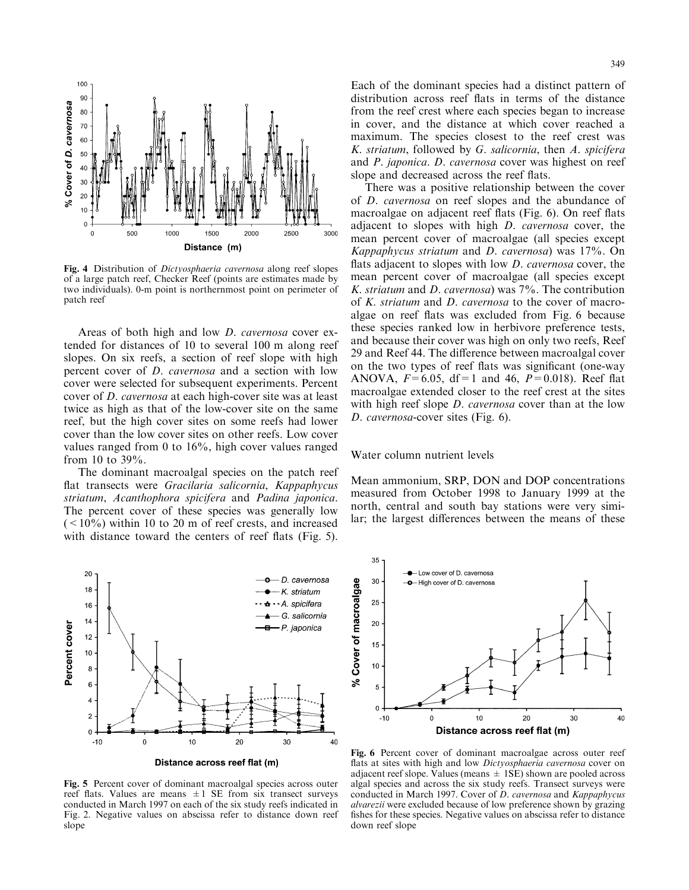

Fig. 4 Distribution of *Dictyosphaeria cavernosa* along reef slopes of a large patch reef, Checker Reef (points are estimates made by two individuals). 0-m point is northernmost point on perimeter of patch reef

Areas of both high and low *D. cavernosa* cover extended for distances of 10 to several 100 m along reef slopes. On six reefs, a section of reef slope with high percent cover of *D. cavernosa* and a section with low cover were selected for subsequent experiments. Percent cover of *D. cavernosa* at each high-cover site was at least twice as high as that of the low-cover site on the same reef, but the high cover sites on some reefs had lower cover than the low cover sites on other reefs. Low cover values ranged from 0 to  $16\%$ , high cover values ranged from 10 to  $39\%$ .

The dominant macroalgal species on the patch reef flat transects were Gracilaria salicornia, Kappaphycus striatum, Acanthophora spicifera and Padina japonica. The percent cover of these species was generally low  $(< 10\%$ ) within 10 to 20 m of reef crests, and increased with distance toward the centers of reef flats (Fig. 5).



Distance across reef flat (m)

Fig. 5 Percent cover of dominant macroalgal species across outer reef flats. Values are means  $\pm 1$  SE from six transect surveys conducted in March 1997 on each of the six study reefs indicated in Fig. 2. Negative values on abscissa refer to distance down reef slope

Each of the dominant species had a distinct pattern of distribution across reef flats in terms of the distance from the reef crest where each species began to increase in cover, and the distance at which cover reached a maximum. The species closest to the reef crest was K. striatum, followed by G. salicornia, then A. spicifera and *P. japonica. D. cavernosa* cover was highest on reef slope and decreased across the reef flats.

There was a positive relationship between the cover of *D. cavernosa* on reef slopes and the abundance of macroalgae on adjacent reef flats (Fig. 6). On reef flats adjacent to slopes with high *D. cavernosa* cover, the mean percent cover of macroalgae (all species except *Kappaphycus striatum* and *D. cavernosa*) was  $17\%$ . On flats adjacent to slopes with low *D. cavernosa* cover, the mean percent cover of macroalgae (all species except K. striatum and D. cavernosa) was 7%. The contribution of K. striatum and D. cavernosa to the cover of macroalgae on reef flats was excluded from Fig. 6 because these species ranked low in herbivore preference tests, and because their cover was high on only two reefs, Reef 29 and Reef 44. The difference between macroalgal cover on the two types of reef flats was significant (one-way ANOVA,  $F=6.05$ , df=1 and 46,  $P=0.018$ ). Reef flat macroalgae extended closer to the reef crest at the sites with high reef slope *D. cavernosa* cover than at the low D. cavernosa-cover sites (Fig. 6).

#### Water column nutrient levels

Mean ammonium, SRP, DON and DOP concentrations measured from October 1998 to January 1999 at the north, central and south bay stations were very similar; the largest differences between the means of these



Fig. 6 Percent cover of dominant macroalgae across outer reef flats at sites with high and low Dictyosphaeria cavernosa cover on adjacent reef slope. Values (means  $\pm$  1SE) shown are pooled across algal species and across the six study reefs. Transect surveys were conducted in March 1997. Cover of D. cavernosa and Kappaphycus *alvarezii* were excluded because of low preference shown by grazing fishes for these species. Negative values on abscissa refer to distance down reef slope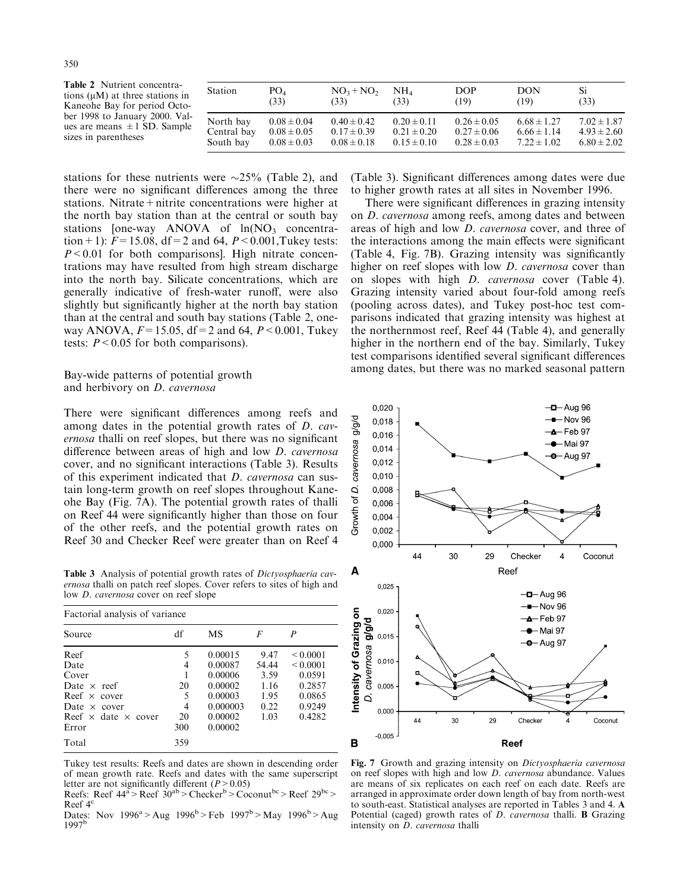| <b>Table 2</b> Nutrient concentra-   |
|--------------------------------------|
| tions $(\mu M)$ at three stations in |
| Kaneohe Bay for period Octo-         |
| ber 1998 to January 2000. Val-       |
| ues are means $\pm 1$ SD. Sample     |
| sizes in parentheses                 |

| Station     | PO <sub>A</sub> | $NO3+NO2$       | NH4.            | <b>DOP</b>      | <b>DON</b>      | Si              |
|-------------|-----------------|-----------------|-----------------|-----------------|-----------------|-----------------|
|             | (33)            | (33)            | (33)            | (19)            | (19)            | (33)            |
| North bay   | $0.08 \pm 0.04$ | $0.40 \pm 0.42$ | $0.20 \pm 0.11$ | $0.26 \pm 0.05$ | $6.68 \pm 1.27$ | $7.02 \pm 1.87$ |
| Central bay | $0.08 \pm 0.05$ | $0.17 \pm 0.39$ | $0.21 \pm 0.20$ | $0.27 \pm 0.06$ | $6.66 \pm 1.14$ | $4.93 \pm 2.60$ |
| South bay   | $0.08 \pm 0.03$ | $0.08 \pm 0.18$ | $0.15 \pm 0.10$ | $0.28 \pm 0.03$ | $7.22 \pm 1.02$ | $6.80 \pm 2.02$ |

stations for these nutrients were  $\sim$ 25% (Table 2), and there were no significant differences among the three stations. Nitrate + nitrite concentrations were higher at the north bay station than at the central or south bay stations [one-way ANOVA of  $ln(NO<sub>3</sub>$  concentration + 1):  $F = 15.08$ , df = 2 and 64,  $P < 0.001$ , Tukey tests:  $P < 0.01$  for both comparisons]. High nitrate concentrations may have resulted from high stream discharge into the north bay. Silicate concentrations, which are generally indicative of fresh-water runoff, were also slightly but significantly higher at the north bay station than at the central and south bay stations (Table 2, oneway ANOVA,  $F = 15.05$ , df = 2 and 64,  $P < 0.001$ , Tukey tests:  $P < 0.05$  for both comparisons).

Bay-wide patterns of potential growth and herbivory on D. cavernosa

There were significant differences among reefs and among dates in the potential growth rates of *D. cav*ernosa thalli on reef slopes, but there was no significant difference between areas of high and low *D. cavernosa* cover, and no significant interactions (Table 3). Results of this experiment indicated that *D. cavernosa* can sustain long-term growth on reef slopes throughout Kaneohe Bay (Fig. 7A). The potential growth rates of thalli on Reef 44 were significantly higher than those on four of the other reefs, and the potential growth rates on Reef 30 and Checker Reef were greater than on Reef 4

Table 3 Analysis of potential growth rates of Dictyosphaeria cavernosa thalli on patch reef slopes. Cover refers to sites of high and low *D. cavernosa* cover on reef slope

| Factorial analysis of variance    |     |           |       |               |  |  |
|-----------------------------------|-----|-----------|-------|---------------|--|--|
| Source                            | df  | <b>MS</b> | F     | P             |  |  |
| Reef                              | 5   | 0.00015   | 9.47  | ${}_{0.0001}$ |  |  |
| Date                              | 4   | 0.00087   | 54.44 | ${}_{0.0001}$ |  |  |
| Cover                             |     | 0.00006   | 3.59  | 0.0591        |  |  |
| Date $\times$ reef                | 20  | 0.00002   | 1.16  | 0.2857        |  |  |
| Reef $\times$ cover               | 5   | 0.00003   | 1.95  | 0.0865        |  |  |
| Date $\times$ cover               | 4   | 0.000003  | 0.22  | 0.9249        |  |  |
| Reef $\times$ date $\times$ cover | 20  | 0.00002   | 1.03  | 0.4282        |  |  |
| Error                             | 300 | 0.00002   |       |               |  |  |
| Total                             | 359 |           |       |               |  |  |

Tukey test results: Reefs and dates are shown in descending order of mean growth rate. Reefs and dates with the same superscript letter are not significantly different ( $P > 0.05$ )

Reefs: Reef  $44^a >$  Reef  $30^{ab} >$  Checker<sup>b</sup> > Coconut<sup>bc</sup> > Reef  $29^{bc}$ Reef  $4^{\circ}$ 

Dates: Nov  $1996^a > Aug$   $1996^b > Feb$   $1997^b > May$   $1996^b > Aug$  $1997^{\rm b}$ 

(Table 3). Significant differences among dates were due to higher growth rates at all sites in November 1996.

There were significant differences in grazing intensity on *D. cavernosa* among reefs, among dates and between areas of high and low *D. cavernosa* cover, and three of the interactions among the main effects were significant (Table 4, Fig. 7B). Grazing intensity was significantly higher on reef slopes with low *D. cavernosa* cover than on slopes with high *D. cavernosa* cover (Table 4). Grazing intensity varied about four-fold among reefs (pooling across dates), and Tukey post-hoc test comparisons indicated that grazing intensity was highest at the northernmost reef, Reef 44 (Table 4), and generally higher in the northern end of the bay. Similarly, Tukey test comparisons identified several significant differences among dates, but there was no marked seasonal pattern



Fig. 7 Growth and grazing intensity on Dictyosphaeria cavernosa on reef slopes with high and low *D. cavernosa* abundance. Values are means of six replicates on each reef on each date. Reefs are arranged in approximate order down length of bay from north-west to south-east. Statistical analyses are reported in Tables 3 and 4. A Potential (caged) growth rates of D. cavernosa thalli. B Grazing intensity on *D. cavernosa* thalli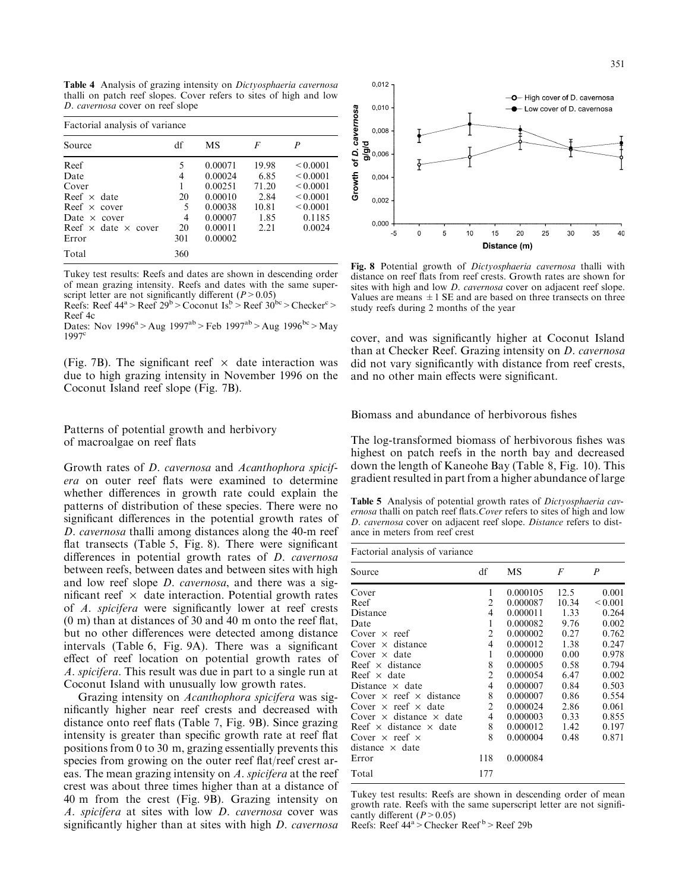Table 4 Analysis of grazing intensity on Dictyosphaeria cavernosa thalli on patch reef slopes. Cover refers to sites of high and low D. cavernosa cover on reef slope

| Factorial analysis of variance                                                                                                                   |                                            |                                                                                      |                                                         |                                                                                             |  |  |  |
|--------------------------------------------------------------------------------------------------------------------------------------------------|--------------------------------------------|--------------------------------------------------------------------------------------|---------------------------------------------------------|---------------------------------------------------------------------------------------------|--|--|--|
| Source                                                                                                                                           | df                                         | MS                                                                                   | F                                                       | P                                                                                           |  |  |  |
| Reef<br>Date<br>Cover<br>Reef $\times$ date<br>Reef $\times$ cover<br>Date $\times$ cover<br>Reef $\times$ date $\times$ cover<br>Error<br>Total | 5<br>4<br>20<br>5<br>4<br>20<br>301<br>360 | 0.00071<br>0.00024<br>0.00251<br>0.00010<br>0.00038<br>0.00007<br>0.00011<br>0.00002 | 19.98<br>6.85<br>71.20<br>2.84<br>10.81<br>1.85<br>2.21 | < 0.0001<br>${}_{0.0001}$<br>< 0.0001<br>${}_{0.0001}$<br>${}_{0.0001}$<br>0.1185<br>0.0024 |  |  |  |

Tukey test results: Reefs and dates are shown in descending order of mean grazing intensity. Reefs and dates with the same superscript letter are not significantly different  $(P > 0.05)$ Reefs: Reef  $44^a >$  Reef  $29^b >$  Coconut Is.  $>$  Reef  $30^{bc} >$  Checker<sup>c</sup> >

Reef 4c

Dates: Nov  $1996^a > Aug$   $1997^{ab} > Feb$   $1997^{ab} > Aug$   $1996^{bc} > May$  $1997^{\circ}$ 

(Fig. 7B). The significant reef  $\times$  date interaction was due to high grazing intensity in November 1996 on the Coconut Island reef slope (Fig. 7B).

Patterns of potential growth and herbivory of macroalgae on reef flats

Growth rates of *D. cavernosa* and *Acanthophora spicif*era on outer reef flats were examined to determine whether differences in growth rate could explain the patterns of distribution of these species. There were no significant differences in the potential growth rates of D. cavernosa thalli among distances along the 40-m reef flat transects (Table 5, Fig. 8). There were significant differences in potential growth rates of *D. cavernosa* between reefs, between dates and between sites with high and low reef slope *D. cavernosa*, and there was a significant reef  $\times$  date interaction. Potential growth rates of A. spicifera were significantly lower at reef crests  $(0 \text{ m})$  than at distances of 30 and 40 m onto the reef flat, but no other differences were detected among distance intervals (Table 6, Fig. 9A). There was a significant effect of reef location on potential growth rates of A. spicifera. This result was due in part to a single run at Coconut Island with unusually low growth rates.

Grazing intensity on Acanthophora spicifera was significantly higher near reef crests and decreased with distance onto reef flats (Table 7, Fig. 9B). Since grazing intensity is greater than specific growth rate at reef flat positions from 0 to 30 m, grazing essentially prevents this species from growing on the outer reef flat/reef crest areas. The mean grazing intensity on A. spicifera at the reef crest was about three times higher than at a distance of 40 m from the crest (Fig. 9B). Grazing intensity on A. spicifera at sites with low *D. cavernosa* cover was significantly higher than at sites with high *D. cavernosa* 



Fig. 8 Potential growth of Dictyosphaeria cavernosa thalli with distance on reef flats from reef crests. Growth rates are shown for sites with high and low *D. cavernosa* cover on adjacent reef slope. Values are means  $\pm 1$  SE and are based on three transects on three study reefs during 2 months of the year

cover, and was significantly higher at Coconut Island than at Checker Reef. Grazing intensity on D. cavernosa did not vary significantly with distance from reef crests, and no other main effects were significant.

Biomass and abundance of herbivorous fishes

The log-transformed biomass of herbivorous fishes was highest on patch reefs in the north bay and decreased down the length of Kaneohe Bay (Table 8, Fig. 10). This gradient resulted in part from a higher abundance of large

Table 5 Analysis of potential growth rates of Dictyosphaeria cavernosa thalli on patch reef flats. Cover refers to sites of high and low D. cavernosa cover on adjacent reef slope. Distance refers to distance in meters from reef crest

| Factorial analysis of variance        |                |          |       |                  |  |  |  |
|---------------------------------------|----------------|----------|-------|------------------|--|--|--|
| Source                                | df             | MS       | F     | $\boldsymbol{P}$ |  |  |  |
| Cover                                 | 1              | 0.000105 | 12.5  | 0.001            |  |  |  |
| Reef                                  | $\overline{2}$ | 0.000087 | 10.34 | ${}_{0.001}$     |  |  |  |
| Distance                              | 4              | 0.000011 | 1.33  | 0.264            |  |  |  |
| Date                                  | 1              | 0.000082 | 9.76  | 0.002            |  |  |  |
| Cover $\times$ reef                   | $\overline{2}$ | 0.000002 | 0.27  | 0.762            |  |  |  |
| Cover $\times$ distance               | 4              | 0.000012 | 1.38  | 0.247            |  |  |  |
| Cover $\times$ date                   | 1              | 0.000000 | 0.00  | 0.978            |  |  |  |
| Reef $\times$ distance                | 8              | 0.000005 | 0.58  | 0.794            |  |  |  |
| Reef $\times$ date                    | $\overline{c}$ | 0.000054 | 6.47  | 0.002            |  |  |  |
| Distance $\times$ date                | $\overline{4}$ | 0.000007 | 0.84  | 0.503            |  |  |  |
| Cover $\times$ reef $\times$ distance | 8              | 0.000007 | 0.86  | 0.554            |  |  |  |
| Cover $\times$ reef $\times$ date     | $\overline{2}$ | 0.000024 | 2.86  | 0.061            |  |  |  |
| Cover $\times$ distance $\times$ date | 4              | 0.000003 | 0.33  | 0.855            |  |  |  |
| Reef $\times$ distance $\times$ date  | 8              | 0.000012 | 1.42  | 0.197            |  |  |  |
| Cover $\times$ reef $\times$          | 8              | 0.000004 | 0.48  | 0.871            |  |  |  |
| distance $\times$ date                |                |          |       |                  |  |  |  |
| Error                                 | 118            | 0.000084 |       |                  |  |  |  |
| Total                                 | 177            |          |       |                  |  |  |  |

Tukey test results: Reefs are shown in descending order of mean growth rate. Reefs with the same superscript letter are not significantly different  $(P > 0.05)$ 

Reefs: Reef 44<sup>a</sup> > Checker Reef <sup>b</sup> > Reef 29b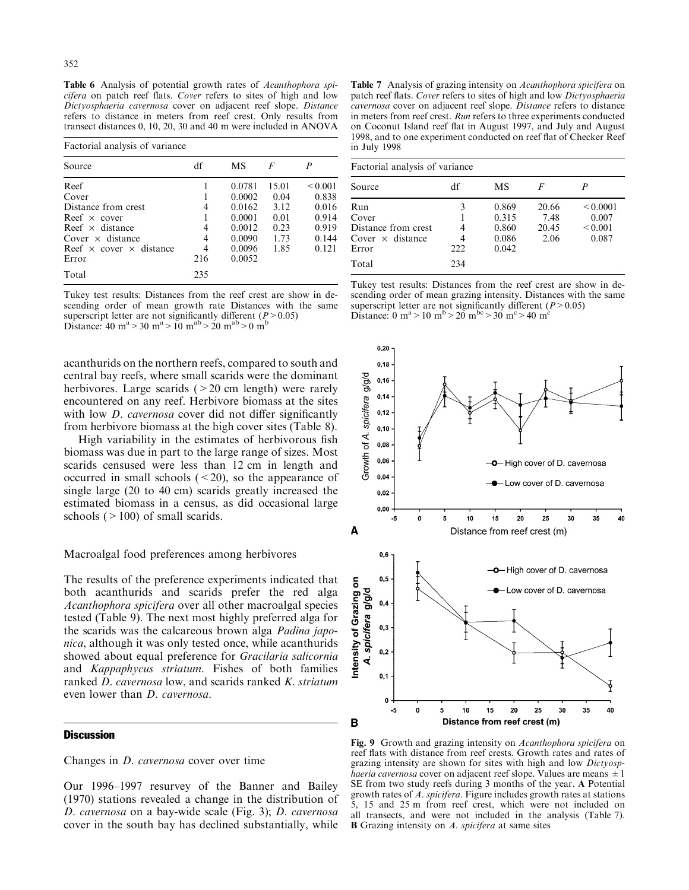Table 6 Analysis of potential growth rates of Acanthophora spicifera on patch reef flats. Cover refers to sites of high and low Dictyosphaeria cavernosa cover on adjacent reef slope. Distance refers to distance in meters from reef crest. Only results from transect distances 0, 10, 20, 30 and 40 m were included in ANOVA

| Factorial analysis of variance        |     |        |       |              |  |  |
|---------------------------------------|-----|--------|-------|--------------|--|--|
| Source                                | df  | MS     | F     | P            |  |  |
| Reef                                  |     | 0.0781 | 15.01 | ${}_{0.001}$ |  |  |
| Cover                                 |     | 0.0002 | 0.04  | 0.838        |  |  |
| Distance from crest                   | 4   | 0.0162 | 3.12  | 0.016        |  |  |
| Reef $\times$ cover                   |     | 0.0001 | 0.01  | 0.914        |  |  |
| Reef $\times$ distance                | 4   | 0.0012 | 0.23  | 0.919        |  |  |
| Cover $\times$ distance               | 4   | 0.0090 | 1.73  | 0.144        |  |  |
| Reef $\times$ cover $\times$ distance | 4   | 0.0096 | 1.85  | 0.121        |  |  |
| Error                                 | 216 | 0.0052 |       |              |  |  |
| Total                                 | 235 |        |       |              |  |  |

Tukey test results: Distances from the reef crest are show in descending order of mean growth rate Distances with the same superscript letter are not significantly different ( $P > 0.05$ )<br>Distance: 40 m<sup>a</sup> > 30 m<sup>a</sup> > 10 m<sup>ab</sup> > 20 m<sup>ab</sup> > 0 m<sup>b</sup>

acanthurids on the northern reefs, compared to south and central bay reefs, where small scarids were the dominant herbivores. Large scarids  $($  > 20 cm length) were rarely encountered on any reef. Herbivore biomass at the sites with low *D. cavernosa* cover did not differ significantly from herbivore biomass at the high cover sites (Table 8).

High variability in the estimates of herbivorous fish biomass was due in part to the large range of sizes. Most scarids censused were less than 12 cm in length and occurred in small schools  $( $20$ ), so the appearance of$ single large (20 to 40 cm) scarids greatly increased the estimated biomass in a census, as did occasional large schools  $($  > 100) of small scarids.

## Macroalgal food preferences among herbivores

The results of the preference experiments indicated that both acanthurids and scarids prefer the red alga Acanthophora spicifera over all other macroalgal species tested (Table 9). The next most highly preferred alga for the scarids was the calcareous brown alga Padina japonica, although it was only tested once, while acanthurids showed about equal preference for *Gracilaria salicornia* and Kappaphycus striatum. Fishes of both families ranked *D. cavernosa* low, and scarids ranked *K. striatum* even lower than *D. cavernosa*.

# **Discussion**

Changes in *D. cavernosa* cover over time

Our 1996–1997 resurvey of the Banner and Bailey (1970) stations revealed a change in the distribution of D. cavernosa on a bay-wide scale (Fig. 3); D. cavernosa cover in the south bay has declined substantially, while

Table 7 Analysis of grazing intensity on Acanthophora spicifera on patch reef flats. Cover refers to sites of high and low Dictyosphaeria cavernosa cover on adjacent reef slope. Distance refers to distance in meters from reef crest. Run refers to three experiments conducted on Coconut Island reef flat in August 1997, and July and August 1998, and to one experiment conducted on reef flat of Checker Reef in July 1998

| Factorial analysis of variance                                          |          |                                           |                                |                                                 |  |  |
|-------------------------------------------------------------------------|----------|-------------------------------------------|--------------------------------|-------------------------------------------------|--|--|
| Source                                                                  | df       | MS                                        | F                              |                                                 |  |  |
| Run<br>Cover<br>Distance from crest<br>Cover $\times$ distance<br>Error | 3<br>222 | 0.869<br>0.315<br>0.860<br>0.086<br>0.042 | 20.66<br>7.48<br>20.45<br>2.06 | ${}_{0.0001}$<br>0.007<br>${}_{0.001}$<br>0.087 |  |  |
| Total                                                                   | 234      |                                           |                                |                                                 |  |  |

Tukey test results: Distances from the reef crest are show in descending order of mean grazing intensity. Distances with the same superscript letter are not significantly different ( $P > 0.05$ ) Distance: 0 m<sup>a</sup> > 10 m<sup>b</sup> > 20 m<sup>bc</sup> > 30 m<sup>c</sup> > 40 m<sup>c</sup>



Fig. 9 Growth and grazing intensity on Acanthophora spicifera on reef flats with distance from reef crests. Growth rates and rates of grazing intensity are shown for sites with high and low Dictyosp*haeria cavernosa* cover on adjacent reef slope. Values are means  $\pm 1$ SE from two study reefs during 3 months of the year. A Potential growth rates of A. spicifera. Figure includes growth rates at stations 5, 15 and 25 m from reef crest, which were not included on all transects, and were not included in the analysis (Table 7). **B** Grazing intensity on  $A$ . spicifera at same sites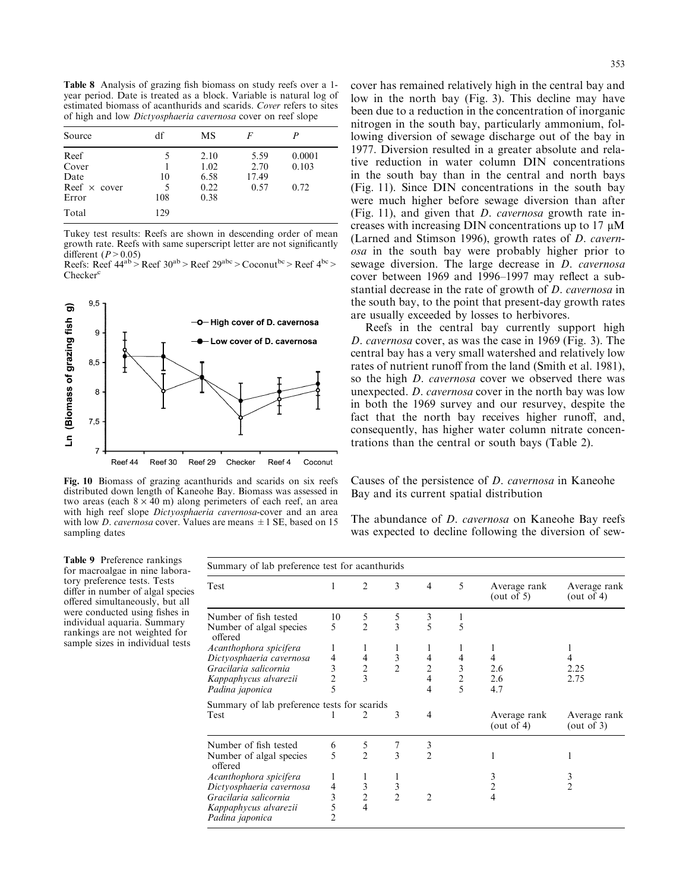Table 8 Analysis of grazing fish biomass on study reefs over a 1year period. Date is treated as a block. Variable is natural log of estimated biomass of acanthurids and scarids. Cover refers to sites of high and low Dictyosphaeria cavernosa cover on reef slope

| Source                                                | df             | MS                                   |                               | P                       |  |
|-------------------------------------------------------|----------------|--------------------------------------|-------------------------------|-------------------------|--|
| Reef<br>Cover<br>Date<br>Reef $\times$ cover<br>Error | 10<br>5<br>108 | 2.10<br>1.02<br>6.58<br>0.22<br>0.38 | 5.59<br>2.70<br>17.49<br>0.57 | 0.0001<br>0.103<br>0.72 |  |
| Total                                                 | 129            |                                      |                               |                         |  |

Tukey test results: Reefs are shown in descending order of mean growth rate. Reefs with same superscript letter are not significantly different ( $P > 0.05$ )

Reefs: Reef  $44^{ab}$  > Reef  $30^{ab}$  > Reef  $29^{abc}$  > Coconut  $^{bc}$  > Reef  $4^{bc}$  > Checker<sup>c</sup>



Fig. 10 Biomass of grazing acanthurids and scarids on six reefs distributed down length of Kaneohe Bay. Biomass was assessed in two areas (each  $8 \times 40$  m) along perimeters of each reef, an area with high reef slope Dictyosphaeria cavernosa-cover and an area with low *D. cavernosa* cover. Values are means  $\pm$  1 SE, based on 15 sampling dates

cover has remained relatively high in the central bay and low in the north bay (Fig. 3). This decline may have been due to a reduction in the concentration of inorganic nitrogen in the south bay, particularly ammonium, following diversion of sewage discharge out of the bay in 1977. Diversion resulted in a greater absolute and relative reduction in water column DIN concentrations in the south bay than in the central and north bays (Fig. 11). Since DIN concentrations in the south bay were much higher before sewage diversion than after (Fig. 11), and given that *D. cavernosa* growth rate increases with increasing DIN concentrations up to 17  $\mu$ M (Larned and Stimson 1996), growth rates of *D. cavern*osa in the south bay were probably higher prior to sewage diversion. The large decrease in *D. cavernosa* cover between 1969 and 1996–1997 may reflect a substantial decrease in the rate of growth of D. cavernosa in the south bay, to the point that present-day growth rates are usually exceeded by losses to herbivores.

Reefs in the central bay currently support high D. cavernosa cover, as was the case in 1969 (Fig. 3). The central bay has a very small watershed and relatively low rates of nutrient runoff from the land (Smith et al. 1981), so the high *D. cavernosa* cover we observed there was unexpected. *D. cavernosa* cover in the north bay was low in both the 1969 survey and our resurvey, despite the fact that the north bay receives higher runoff, and, consequently, has higher water column nitrate concentrations than the central or south bays (Table 2).

Causes of the persistence of *D. cavernosa* in Kaneohe Bay and its current spatial distribution

The abundance of *D. cavernosa* on Kaneohe Bay reefs was expected to decline following the diversion of sew-

Table 9 Preference rankings for macroalgae in nine laboratory preference tests. Tests differ in number of algal species offered simultaneously, but all were conducted using fishes in individual aquaria. Summary rankings are not weighted for sample sizes in individual tests

| Summary of lab preference test for acanthurids |                |                |                         |                |                |                            |                               |
|------------------------------------------------|----------------|----------------|-------------------------|----------------|----------------|----------------------------|-------------------------------|
| Test                                           |                | $\overline{2}$ | 3                       | 4              | 5              | Average rank<br>(out of 5) | Average rank<br>(out of 4)    |
| Number of fish tested                          | 10             | 5              | 5                       | 3              | 1              |                            |                               |
| Number of algal species<br>offered             | 5              | $\mathfrak{D}$ | $\overline{\mathbf{3}}$ | 5              | 5              |                            |                               |
| Acanthophora spicifera                         | 1              |                | 1                       | 1              |                |                            |                               |
| Dictyosphaeria cavernosa                       | 4              | 4              | 3                       | 4              | 4              | 4                          | 4                             |
| Gracilaria salicornia                          | 3              | $\sqrt{2}$     | $\overline{2}$          | $\overline{2}$ | 3              | 2.6                        | 2.25                          |
| Kappaphycus alvarezii                          | $\overline{c}$ | 3              |                         | 4              | $\overline{2}$ | 2.6                        | 2.75                          |
| Padina japonica                                | 5              |                |                         | 4              | 5              | 4.7                        |                               |
| Summary of lab preference tests for scarids    |                |                |                         |                |                |                            |                               |
| Test                                           |                | 2              | 3                       | 4              |                | Average rank<br>(out of 4) | Average rank<br>(out of $3$ ) |
| Number of fish tested                          | 6              | 5              | 7                       | 3              |                |                            |                               |
| Number of algal species<br>offered             | 5              | $\overline{2}$ | 3                       | $\overline{2}$ |                |                            |                               |
| Acanthophora spicifera                         | 1              | 1              | 1                       |                |                | 3                          | 3                             |
| Dictyosphaeria cavernosa                       | 4              | 3              | 3                       |                |                | 2                          | $\overline{2}$                |
| Gracilaria salicornia                          | 3              | $\overline{c}$ | $\overline{2}$          | $\overline{c}$ |                | 4                          |                               |
| Kappaphycus alvarezii                          | 5              | $\overline{4}$ |                         |                |                |                            |                               |
| Padina japonica                                | 2              |                |                         |                |                |                            |                               |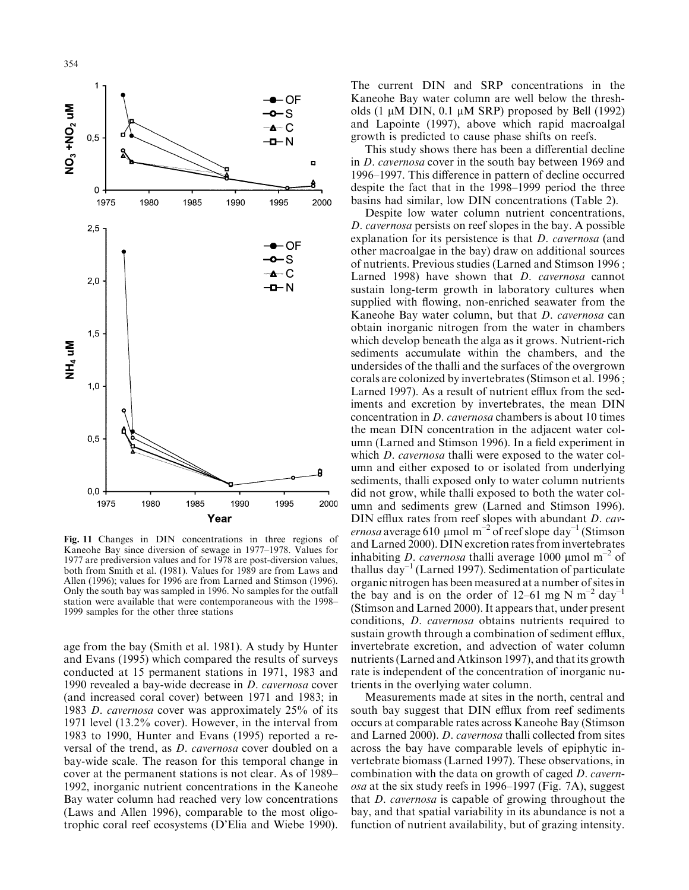

Fig. 11 Changes in DIN concentrations in three regions of Kaneohe Bay since diversion of sewage in 1977–1978. Values for 1977 are prediversion values and for 1978 are post-diversion values, both from Smith et al. (1981). Values for 1989 are from Laws and Allen (1996); values for 1996 are from Larned and Stimson (1996). Only the south bay was sampled in 1996. No samples for the outfall station were available that were contemporaneous with the 1998-1999 samples for the other three stations

age from the bay (Smith et al. 1981). A study by Hunter and Evans (1995) which compared the results of surveys conducted at 15 permanent stations in 1971, 1983 and 1990 revealed a bay-wide decrease in *D. cavernosa* cover (and increased coral cover) between 1971 and 1983; in 1983 D. cavernosa cover was approximately 25% of its 1971 level (13.2% cover). However, in the interval from 1983 to 1990, Hunter and Evans (1995) reported a reversal of the trend, as *D. cavernosa* cover doubled on a bay-wide scale. The reason for this temporal change in cover at the permanent stations is not clear. As of 1989– 1992, inorganic nutrient concentrations in the Kaneohe Bay water column had reached very low concentrations (Laws and Allen 1996), comparable to the most oligotrophic coral reef ecosystems (D'Elia and Wiebe 1990).

The current DIN and SRP concentrations in the Kaneohe Bay water column are well below the thresholds  $(1 \mu M$  DIN, 0.1  $\mu M$  SRP) proposed by Bell (1992) and Lapointe (1997), above which rapid macroalgal growth is predicted to cause phase shifts on reefs.

This study shows there has been a differential decline in *D. cavernosa* cover in the south bay between 1969 and 1996–1997. This difference in pattern of decline occurred despite the fact that in the 1998–1999 period the three basins had similar, low DIN concentrations (Table 2).

Despite low water column nutrient concentrations, D. cavernosa persists on reef slopes in the bay. A possible explanation for its persistence is that *D. cavernosa* (and other macroalgae in the bay) draw on additional sources of nutrients. Previous studies (Larned and Stimson 1996; Larned 1998) have shown that D. cavernosa cannot sustain long-term growth in laboratory cultures when supplied with flowing, non-enriched seawater from the Kaneohe Bay water column, but that *D. cavernosa* can obtain inorganic nitrogen from the water in chambers which develop beneath the alga as it grows. Nutrient-rich sediments accumulate within the chambers, and the undersides of the thalli and the surfaces of the overgrown corals are colonized by invertebrates (Stimson et al. 1996; Larned 1997). As a result of nutrient efflux from the sediments and excretion by invertebrates, the mean DIN concentration in *D. cavernosa* chambers is about 10 times the mean DIN concentration in the adjacent water column (Larned and Stimson 1996). In a field experiment in which *D. cavernosa* thalli were exposed to the water column and either exposed to or isolated from underlying sediments, thalli exposed only to water column nutrients did not grow, while thalli exposed to both the water column and sediments grew (Larned and Stimson 1996). DIN efflux rates from reef slopes with abundant *D. cav*ernosa average 610 µmol m<sup>-2</sup> of reef slope day<sup>-1</sup> (Stimson and Larned 2000). DIN excretion rates from invertebrates inhabiting *D. cavernosa* thalli average 1000 µmol m<sup>-2</sup> of thallus  $\text{day}^{-1}$  (Larned 1997). Sedimentation of particulate organic nitrogen has been measured at a number of sites in the bay and is on the order of 12–61 mg N  $m^{-2}$  day<sup>-1</sup> (Stimson and Larned 2000). It appears that, under present conditions, *D. cavernosa* obtains nutrients required to sustain growth through a combination of sediment efflux, invertebrate excretion, and advection of water column nutrients (Larned and Atkinson 1997), and that its growth rate is independent of the concentration of inorganic nutrients in the overlying water column.

Measurements made at sites in the north, central and south bay suggest that DIN efflux from reef sediments occurs at comparable rates across Kaneohe Bay (Stimson and Larned 2000). *D. cavernosa* thalli collected from sites across the bay have comparable levels of epiphytic invertebrate biomass (Larned 1997). These observations, in combination with the data on growth of caged D. cavernosa at the six study reefs in 1996–1997 (Fig. 7A), suggest that *D. cavernosa* is capable of growing throughout the bay, and that spatial variability in its abundance is not a function of nutrient availability, but of grazing intensity.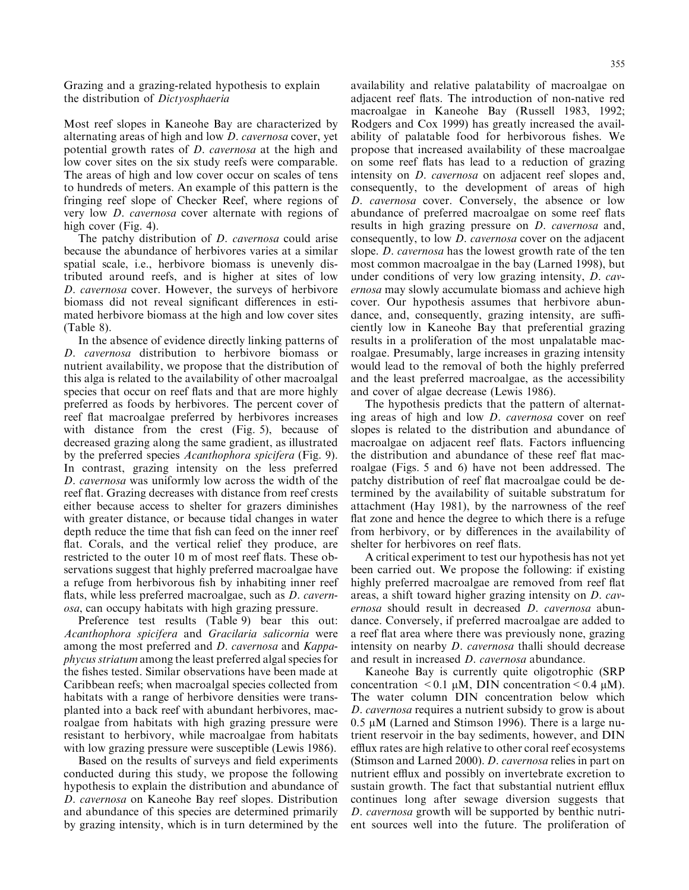Grazing and a grazing-related hypothesis to explain the distribution of Dictyosphaeria

Most reef slopes in Kaneohe Bay are characterized by alternating areas of high and low *D. cavernosa* cover, yet potential growth rates of *D. cavernosa* at the high and low cover sites on the six study reefs were comparable. The areas of high and low cover occur on scales of tens to hundreds of meters. An example of this pattern is the fringing reef slope of Checker Reef, where regions of very low *D. cavernosa* cover alternate with regions of high cover (Fig. 4).

The patchy distribution of *D. cavernosa* could arise because the abundance of herbivores varies at a similar spatial scale, i.e., herbivore biomass is unevenly distributed around reefs, and is higher at sites of low D. cavernosa cover. However, the surveys of herbivore biomass did not reveal significant differences in estimated herbivore biomass at the high and low cover sites  $(Table 8).$ 

In the absence of evidence directly linking patterns of D. cavernosa distribution to herbivore biomass or nutrient availability, we propose that the distribution of this alga is related to the availability of other macroalgal species that occur on reef flats and that are more highly preferred as foods by herbivores. The percent cover of reef flat macroalgae preferred by herbivores increases with distance from the crest (Fig. 5), because of decreased grazing along the same gradient, as illustrated by the preferred species Acanthophora spicifera (Fig. 9). In contrast, grazing intensity on the less preferred D. cavernosa was uniformly low across the width of the reef flat. Grazing decreases with distance from reef crests either because access to shelter for grazers diminishes with greater distance, or because tidal changes in water depth reduce the time that fish can feed on the inner reef flat. Corals, and the vertical relief they produce, are restricted to the outer 10 m of most reef flats. These observations suggest that highly preferred macroalgae have a refuge from herbivorous fish by inhabiting inner reef flats, while less preferred macroalgae, such as *D. cavernosa*, can occupy habitats with high grazing pressure.

Preference test results (Table 9) bear this out: Acanthophora spicifera and Gracilaria salicornia were among the most preferred and *D. cavernosa* and *Kappaphycus striatum* among the least preferred algal species for the fishes tested. Similar observations have been made at Caribbean reefs; when macroalgal species collected from habitats with a range of herbivore densities were transplanted into a back reef with abundant herbivores, macroalgae from habitats with high grazing pressure were resistant to herbivory, while macroalgae from habitats with low grazing pressure were susceptible (Lewis 1986).

Based on the results of surveys and field experiments conducted during this study, we propose the following hypothesis to explain the distribution and abundance of D. cavernosa on Kaneohe Bay reef slopes. Distribution and abundance of this species are determined primarily by grazing intensity, which is in turn determined by the

availability and relative palatability of macroalgae on adjacent reef flats. The introduction of non-native red macroalgae in Kaneohe Bay (Russell 1983, 1992; Rodgers and Cox 1999) has greatly increased the availability of palatable food for herbivorous fishes. We propose that increased availability of these macroalgae on some reef flats has lead to a reduction of grazing intensity on *D. cavernosa* on adjacent reef slopes and, consequently, to the development of areas of high D. cavernosa cover. Conversely, the absence or low abundance of preferred macroalgae on some reef flats results in high grazing pressure on *D. cavernosa* and, consequently, to low *D. cavernosa* cover on the adjacent slope. *D. cavernosa* has the lowest growth rate of the ten most common macroalgae in the bay (Larned 1998), but under conditions of very low grazing intensity, D. cavernosa may slowly accumulate biomass and achieve high cover. Our hypothesis assumes that herbivore abundance, and, consequently, grazing intensity, are sufficiently low in Kaneohe Bay that preferential grazing results in a proliferation of the most unpalatable macroalgae. Presumably, large increases in grazing intensity would lead to the removal of both the highly preferred and the least preferred macroalgae, as the accessibility and cover of algae decrease (Lewis 1986).

The hypothesis predicts that the pattern of alternating areas of high and low *D. cavernosa* cover on reef slopes is related to the distribution and abundance of macroalgae on adjacent reef flats. Factors influencing the distribution and abundance of these reef flat macroalgae (Figs. 5 and 6) have not been addressed. The patchy distribution of reef flat macroalgae could be determined by the availability of suitable substratum for attachment (Hay 1981), by the narrowness of the reef flat zone and hence the degree to which there is a refuge from herbivory, or by differences in the availability of shelter for herbivores on reef flats.

A critical experiment to test our hypothesis has not yet been carried out. We propose the following: if existing highly preferred macroalgae are removed from reef flat areas, a shift toward higher grazing intensity on *D. cav*ernosa should result in decreased *D. cavernosa* abundance. Conversely, if preferred macroalgae are added to a reef flat area where there was previously none, grazing intensity on nearby *D. cavernosa* thalli should decrease and result in increased *D. cavernosa* abundance.

Kaneohe Bay is currently quite oligotrophic (SRP concentration < 0.1  $\mu$ M, DIN concentration < 0.4  $\mu$ M). The water column DIN concentration below which D. cavernosa requires a nutrient subsidy to grow is about  $0.5 \mu M$  (Larned and Stimson 1996). There is a large nutrient reservoir in the bay sediments, however, and DIN efflux rates are high relative to other coral reef ecosystems (Stimson and Larned 2000). *D. cavernosa* relies in part on nutrient efflux and possibly on invertebrate excretion to sustain growth. The fact that substantial nutrient efflux continues long after sewage diversion suggests that *D. cavernosa* growth will be supported by benthic nutrient sources well into the future. The proliferation of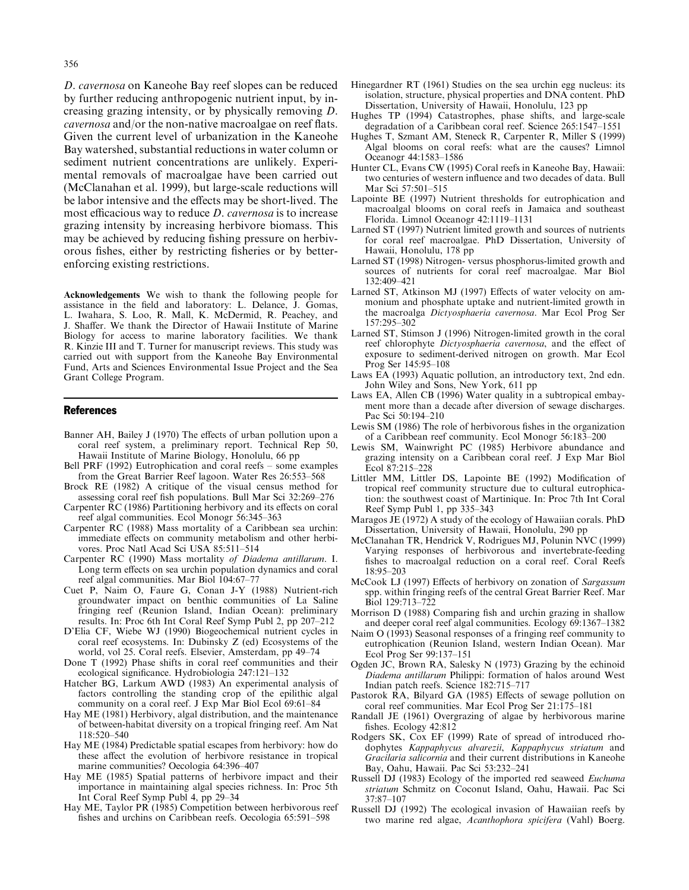D. cavernosa on Kaneohe Bay reef slopes can be reduced by further reducing anthropogenic nutrient input, by increasing grazing intensity, or by physically removing D. *cavernosa* and/or the non-native macroalgae on reef flats. Given the current level of urbanization in the Kaneohe Bay watershed, substantial reductions in water column or sediment nutrient concentrations are unlikely. Experimental removals of macroalgae have been carried out (McClanahan et al. 1999), but large-scale reductions will be labor intensive and the effects may be short-lived. The most efficacious way to reduce *D. cavernosa* is to increase grazing intensity by increasing herbivore biomass. This may be achieved by reducing fishing pressure on herbivorous fishes, either by restricting fisheries or by betterenforcing existing restrictions.

Acknowledgements We wish to thank the following people for assistance in the field and laboratory: L. Delance, J. Gomas, L. Iwahara, S. Loo, R. Mall, K. McDermid, R. Peachey, and J. Shaffer. We thank the Director of Hawaii Institute of Marine Biology for access to marine laboratory facilities. We thank R. Kinzie III and T. Turner for manuscript reviews. This study was carried out with support from the Kaneohe Bay Environmental Fund, Arts and Sciences Environmental Issue Project and the Sea Grant College Program.

#### **References**

- Banner AH, Bailey J (1970) The effects of urban pollution upon a coral reef system, a preliminary report. Technical Rep 50, Hawaii Institute of Marine Biology, Honolulu, 66 pp
- Bell PRF (1992) Eutrophication and coral reefs some examples from the Great Barrier Reef lagoon. Water Res 26:553-568
- Brock RE (1982) A critique of the visual census method for assessing coral reef fish populations. Bull Mar Sci 32:269–276
- Carpenter RC (1986) Partitioning herbivory and its effects on coral reef algal communities. Ecol Monogr 56:345-363
- Carpenter RC (1988) Mass mortality of a Caribbean sea urchin: immediate effects on community metabolism and other herbivores. Proc Natl Acad Sci USA 85:511-514
- Carpenter RC (1990) Mass mortality of Diadema antillarum. I. Long term effects on sea urchin population dynamics and coral reef algal communities. Mar Biol 104:67-77
- Cuet P, Naim O, Faure G, Conan J-Y (1988) Nutrient-rich groundwater impact on benthic communities of La Saline fringing reef (Reunion Island, Indian Ocean): preliminary results. In: Proc 6th Int Coral Reef Symp Publ 2, pp 207-212
- D'Elia CF, Wiebe WJ (1990) Biogeochemical nutrient cycles in coral reef ecosystems. In: Dubinsky Z (ed) Ecosystems of the world, vol 25. Coral reefs. Elsevier, Amsterdam, pp 49–74
- Done T (1992) Phase shifts in coral reef communities and their ecological significance. Hydrobiologia 247:121-132
- Hatcher BG, Larkum AWD (1983) An experimental analysis of factors controlling the standing crop of the epilithic algal community on a coral reef. J Exp Mar Biol Ecol 69:61-84
- Hay ME (1981) Herbivory, algal distribution, and the maintenance of between-habitat diversity on a tropical fringing reef. Am Nat 118:520-540
- Hay ME (1984) Predictable spatial escapes from herbivory: how do these affect the evolution of herbivore resistance in tropical marine communities? Oecologia 64:396-407
- Hay ME (1985) Spatial patterns of herbivore impact and their importance in maintaining algal species richness. In: Proc 5th Int Coral Reef Symp Publ 4, pp 29-34
- Hay ME, Taylor PR (1985) Competition between herbivorous reef fishes and urchins on Caribbean reefs. Oecologia 65:591-598
- Hinegardner RT (1961) Studies on the sea urchin egg nucleus: its isolation, structure, physical properties and DNA content. PhD Dissertation, University of Hawaii, Honolulu, 123 pp
- Hughes TP (1994) Catastrophes, phase shifts, and large-scale degradation of a Caribbean coral reef. Science 265:1547–1551
- Hughes T, Szmant AM, Steneck R, Carpenter R, Miller S (1999) Algal blooms on coral reefs: what are the causes? Limnol Oceanogr 44:1583-1586
- Hunter CL, Evans CW (1995) Coral reefs in Kaneohe Bay, Hawaii: two centuries of western influence and two decades of data. Bull Mar Sci 57:501-515
- Lapointe BE (1997) Nutrient thresholds for eutrophication and macroalgal blooms on coral reefs in Jamaica and southeast Florida. Limnol Oceanogr 42:1119-1131
- Larned ST (1997) Nutrient limited growth and sources of nutrients for coral reef macroalgae. PhD Dissertation, University of Hawaii, Honolulu, 178 pp
- Larned ST (1998) Nitrogen- versus phosphorus-limited growth and sources of nutrients for coral reef macroalgae. Mar Biol 132:409-421
- Larned ST, Atkinson MJ (1997) Effects of water velocity on ammonium and phosphate uptake and nutrient-limited growth in the macroalga Dictyosphaeria cavernosa. Mar Ecol Prog Ser 157:295-302
- Larned ST, Stimson J (1996) Nitrogen-limited growth in the coral reef chlorophyte Dictyosphaeria cavernosa, and the effect of exposure to sediment-derived nitrogen on growth. Mar Ecol Prog Ser 145:95-108
- Laws EA (1993) Aquatic pollution, an introductory text, 2nd edn. John Wiley and Sons, New York, 611 pp
- Laws EA, Allen CB (1996) Water quality in a subtropical embayment more than a decade after diversion of sewage discharges. Pac Sci 50:194-210
- Lewis SM (1986) The role of herbivorous fishes in the organization of a Caribbean reef community. Ecol Monogr 56:183-200
- Lewis SM, Wainwright PC (1985) Herbivore abundance and grazing intensity on a Caribbean coral reef. J Exp Mar Biol Ecol 87:215-228
- Littler MM, Littler DS, Lapointe BE (1992) Modification of tropical reef community structure due to cultural eutrophication: the southwest coast of Martinique. In: Proc 7th Int Coral Reef Symp Publ 1, pp 335–343
- Maragos JE (1972) A study of the ecology of Hawaiian corals. PhD Dissertation, University of Hawaii, Honolulu, 290 pp
- McClanahan TR, Hendrick V, Rodrigues MJ, Polunin NVC (1999) Varying responses of herbivorous and invertebrate-feeding fishes to macroalgal reduction on a coral reef. Coral Reefs 18:95-203
- McCook LJ (1997) Effects of herbivory on zonation of Sargassum spp. within fringing reefs of the central Great Barrier Reef. Mar Biol 129:713-722
- Morrison D (1988) Comparing fish and urchin grazing in shallow and deeper coral reef algal communities. Ecology 69:1367-1382
- Naim O (1993) Seasonal responses of a fringing reef community to eutrophication (Reunion Island, western Indian Ocean). Mar Ecol Prog Ser 99:137-151
- Ogden JC, Brown RA, Salesky N (1973) Grazing by the echinoid Diadema antillarum Philippi: formation of halos around West Indian patch reefs. Science 182:715-717
- Pastorok RA, Bilyard GA (1985) Effects of sewage pollution on coral reef communities. Mar Ecol Prog Ser 21:175-181
- Randall JE (1961) Overgrazing of algae by herbivorous marine fishes. Ecology 42:812
- Rodgers SK, Cox EF (1999) Rate of spread of introduced rhodophytes Kappaphycus alvarezii, Kappaphycus striatum and Gracilaria salicornia and their current distributions in Kaneohe Bay, Oahu, Hawaii. Pac Sci 53:232-241
- Russell DJ (1983) Ecology of the imported red seaweed Euchuma striatum Schmitz on Coconut Island, Oahu, Hawaii. Pac Sci  $37:87 - 107$
- Russell DJ (1992) The ecological invasion of Hawaiian reefs by two marine red algae, Acanthophora spicifera (Vahl) Boerg.